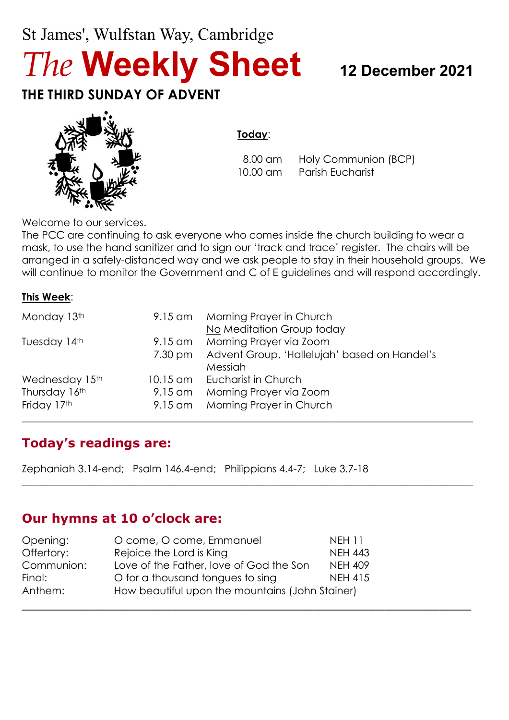# St James', Wulfstan Way, Cambridge *The* **Weekly Sheet <sup>12</sup> December <sup>2021</sup>**

# **THE THIRD SUNDAY OF ADVENT**



**Today**:

 8.00 am Holy Communion (BCP) 10.00 am Parish Eucharist

Welcome to our services.

The PCC are continuing to ask everyone who comes inside the church building to wear a mask, to use the hand sanitizer and to sign our 'track and trace' register. The chairs will be arranged in a safely-distanced way and we ask people to stay in their household groups. We will continue to monitor the Government and C of E guidelines and will respond accordingly.

#### **This Week**:

| Monday 13th    | 9.15 am | Morning Prayer in Church                             |
|----------------|---------|------------------------------------------------------|
|                |         | No Meditation Group today                            |
| Tuesday 14th   | 9.15 am | Morning Prayer via Zoom                              |
|                |         | 7.30 pm Advent Group, 'Hallelujah' based on Handel's |
|                |         | Messiah                                              |
| Wednesday 15th |         | 10.15 am Eucharist in Church                         |
| Thursday 16th  | 9.15 am | Morning Prayer via Zoom                              |
| Friday 17th    | 9.15 am | Morning Prayer in Church                             |

 $\_$  , and the set of the set of the set of the set of the set of the set of the set of the set of the set of the set of the set of the set of the set of the set of the set of the set of the set of the set of the set of th

 $\_$  , and the set of the set of the set of the set of the set of the set of the set of the set of the set of the set of the set of the set of the set of the set of the set of the set of the set of the set of the set of th

# **Today's readings are:**

Zephaniah 3.14-end; Psalm 146.4-end; Philippians 4.4-7; Luke 3.7-18

#### **Our hymns at 10 o'clock are:**

| Opening:   | O come, O come, Emmanuel                        | <b>NEH 11</b>  |
|------------|-------------------------------------------------|----------------|
| Offertory: | Rejoice the Lord is King                        | <b>NEH 443</b> |
| Communion: | Love of the Father, love of God the Son         | <b>NEH 409</b> |
| Final:     | O for a thousand tongues to sing                | <b>NEH 415</b> |
| Anthem:    | How beautiful upon the mountains (John Stainer) |                |
|            |                                                 |                |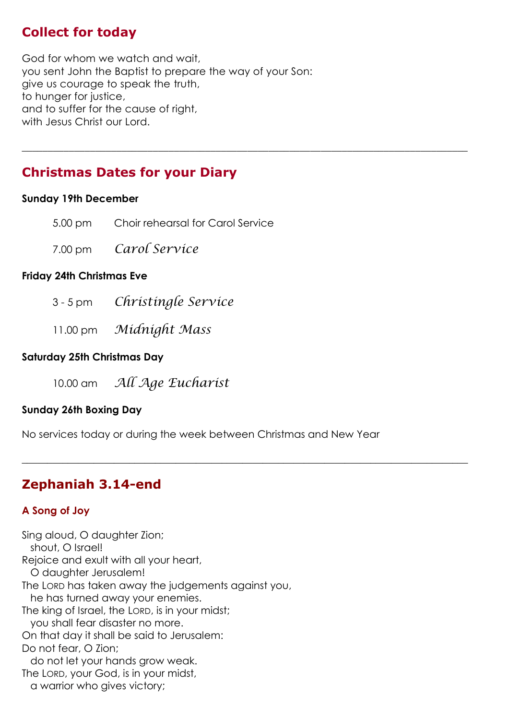# **Collect for today**

God for whom we watch and wait, you sent John the Baptist to prepare the way of your Son: give us courage to speak the truth, to hunger for justice, and to suffer for the cause of right, with Jesus Christ our Lord.

\_\_\_\_\_\_\_\_\_\_\_\_\_\_\_\_\_\_\_\_\_\_\_\_\_\_\_\_\_\_\_\_\_\_\_\_\_\_\_\_\_\_\_\_\_\_\_\_\_\_\_\_\_\_\_\_\_\_\_\_\_\_\_\_\_\_\_\_\_\_\_\_\_\_\_\_\_\_\_\_\_\_\_\_\_

# **Christmas Dates for your Diary**

#### **Sunday 19th December**

5.00 pm Choir rehearsal for Carol Service

7.00 pm *Carol Service*

#### **Friday 24th Christmas Eve**

- 3 5 pm *Christingle Service*
- 11.00 pm *Midnight Mass*

#### **Saturday 25th Christmas Day**

10.00 am *All Age Eucharist*

#### **Sunday 26th Boxing Day**

No services today or during the week between Christmas and New Year

 $\_$  , and the set of the set of the set of the set of the set of the set of the set of the set of the set of the set of the set of the set of the set of the set of the set of the set of the set of the set of the set of th

# **Zephaniah 3.14-end**

#### **A Song of Joy**

Sing aloud, O daughter Zion; shout, O Israel! Rejoice and exult with all your heart, O daughter Jerusalem! The LORD has taken away the judgements against you, he has turned away your enemies. The king of Israel, the LORD, is in your midst; you shall fear disaster no more. On that day it shall be said to Jerusalem: Do not fear, O Zion; do not let your hands grow weak. The LORD, your God, is in your midst, a warrior who gives victory;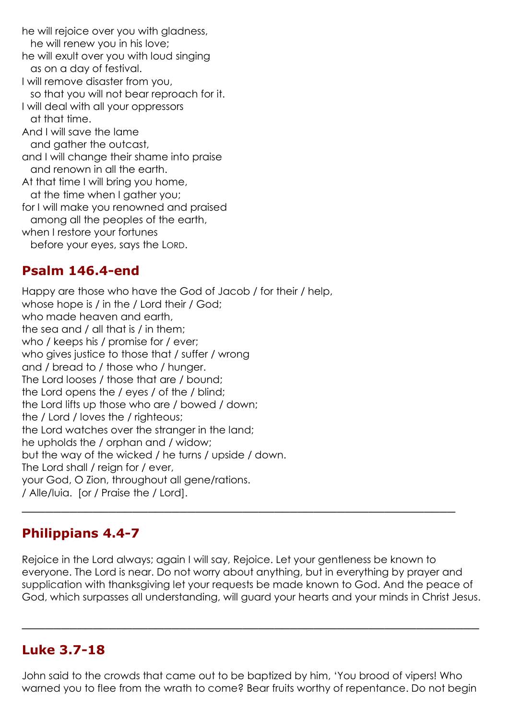he will rejoice over you with gladness, he will renew you in his love; he will exult over you with loud singing as on a day of festival. I will remove disaster from you, so that you will not bear reproach for it. I will deal with all your oppressors at that time. And I will save the lame and gather the outcast, and I will change their shame into praise and renown in all the earth. At that time I will bring you home, at the time when I gather you; for I will make you renowned and praised among all the peoples of the earth, when I restore your fortunes before your eyes, says the LORD.

#### **Psalm 146.4-end**

Happy are those who have the God of Jacob / for their / help, whose hope is / in the / Lord their / God; who made heaven and earth. the sea and / all that is / in them; who / keeps his / promise for / ever; who gives justice to those that / suffer / wrong and / bread to / those who / hunger. The Lord looses / those that are / bound; the Lord opens the / eyes / of the / blind; the Lord lifts up those who are / bowed / down; the / Lord / loves the / righteous; the Lord watches over the stranger in the land; he upholds the / orphan and / widow; but the way of the wicked / he turns / upside / down. The Lord shall / reign for / ever, your God, O Zion, throughout all gene/rations. / Alle/luia. [or / Praise the / Lord].

# **Philippians 4.4-7**

Rejoice in the Lord always; again I will say, Rejoice. Let your gentleness be known to everyone. The Lord is near. Do not worry about anything, but in everything by prayer and supplication with thanksgiving let your requests be made known to God. And the peace of God, which surpasses all understanding, will guard your hearts and your minds in Christ Jesus.

\_\_\_\_\_\_\_\_\_\_\_\_\_\_\_\_\_\_\_\_\_\_\_\_\_\_\_\_\_\_\_\_\_\_\_\_\_\_\_\_\_\_\_\_\_\_\_\_\_\_\_\_\_\_\_\_\_\_

\_\_\_\_\_\_\_\_\_\_\_\_\_\_\_\_\_\_\_\_\_\_\_\_\_\_\_\_\_\_\_\_\_\_\_\_\_\_\_\_\_\_\_\_\_\_\_\_\_\_\_\_\_\_\_

#### **Luke 3.7-18**

John said to the crowds that came out to be baptized by him, 'You brood of vipers! Who warned you to flee from the wrath to come? Bear fruits worthy of repentance. Do not begin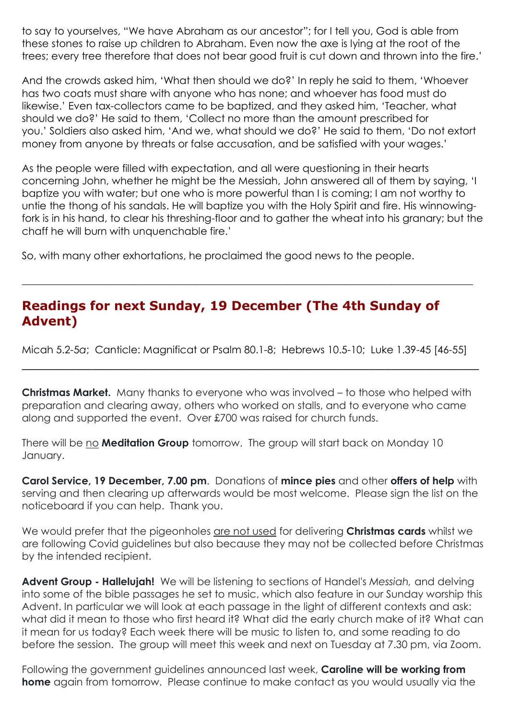to say to yourselves, "We have Abraham as our ancestor"; for I tell you, God is able from these stones to raise up children to Abraham. Even now the axe is lying at the root of the trees; every tree therefore that does not bear good fruit is cut down and thrown into the fire.'

And the crowds asked him, 'What then should we do?' In reply he said to them, 'Whoever has two coats must share with anyone who has none; and whoever has food must do likewise.' Even tax-collectors came to be baptized, and they asked him, 'Teacher, what should we do?' He said to them, 'Collect no more than the amount prescribed for you.' Soldiers also asked him, 'And we, what should we do?' He said to them, 'Do not extort money from anyone by threats or false accusation, and be satisfied with your wages.'

As the people were filled with expectation, and all were questioning in their hearts concerning John, whether he might be the Messiah, John answered all of them by saying, 'I baptize you with water; but one who is more powerful than I is coming; I am not worthy to untie the thong of his sandals. He will baptize you with the Holy Spirit and fire. His winnowingfork is in his hand, to clear his threshing-floor and to gather the wheat into his granary; but the chaff he will burn with unquenchable fire.'

So, with many other exhortations, he proclaimed the good news to the people.

### **Readings for next Sunday, 19 December (The 4th Sunday of Advent)**

Micah 5.2-5*a*; Canticle: Magnificat or Psalm 80.1-8; Hebrews 10.5-10; Luke 1.39-45 [46-55]

\_\_\_\_\_\_\_\_\_\_\_\_\_\_\_\_\_\_\_\_\_\_\_\_\_\_\_\_\_\_\_\_\_\_\_\_\_\_\_\_\_\_\_\_\_\_\_\_\_\_\_\_\_\_\_\_\_\_

 $\_$  , and the set of the set of the set of the set of the set of the set of the set of the set of the set of the set of the set of the set of the set of the set of the set of the set of the set of the set of the set of th

**Christmas Market.** Many thanks to everyone who was involved – to those who helped with preparation and clearing away, others who worked on stalls, and to everyone who came along and supported the event. Over £700 was raised for church funds.

There will be no **Meditation Group** tomorrow. The group will start back on Monday 10 January.

**Carol Service, 19 December, 7.00 pm**. Donations of **mince pies** and other **offers of help** with serving and then clearing up afterwards would be most welcome. Please sign the list on the noticeboard if you can help. Thank you.

We would prefer that the pigeonholes are not used for delivering **Christmas cards** whilst we are following Covid guidelines but also because they may not be collected before Christmas by the intended recipient.

**Advent Group - Hallelujah!** We will be listening to sections of Handel's *Messiah,* and delving into some of the bible passages he set to music, which also feature in our Sunday worship this Advent. In particular we will look at each passage in the light of different contexts and ask: what did it mean to those who first heard it? What did the early church make of it? What can it mean for us today? Each week there will be music to listen to, and some reading to do before the session. The group will meet this week and next on Tuesday at 7.30 pm, via Zoom.

Following the government guidelines announced last week, **Caroline will be working from home** again from tomorrow. Please continue to make contact as you would usually via the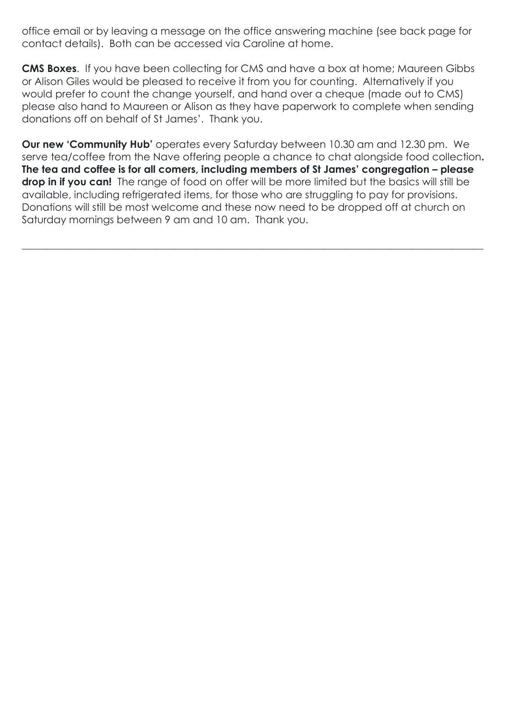office email or by leaving a message on the office answering machine (see back page for contact details). Both can be accessed via Caroline at home.

**CMS Boxes**. If you have been collecting for CMS and have a box at home; Maureen Gibbs or Alison Giles would be pleased to receive it from you for counting. Alternatively if you would prefer to count the change yourself, and hand over a cheque (made out to CMS) please also hand to Maureen or Alison as they have paperwork to complete when sending donations off on behalf of St James'. Thank you.

**Our new 'Community Hub'** operates every Saturday between 10.30 am and 12.30 pm. We serve tea/coffee from the Nave offering people a chance to chat alongside food collection**. The tea and coffee is for all comers, including members of St James' congregation – please drop in if you can!** The range of food on offer will be more limited but the basics will still be available, including refrigerated items, for those who are struggling to pay for provisions. Donations will still be most welcome and these now need to be dropped off at church on Saturday mornings between 9 am and 10 am. Thank you.

 $\_$  , and the set of the set of the set of the set of the set of the set of the set of the set of the set of the set of the set of the set of the set of the set of the set of the set of the set of the set of the set of th